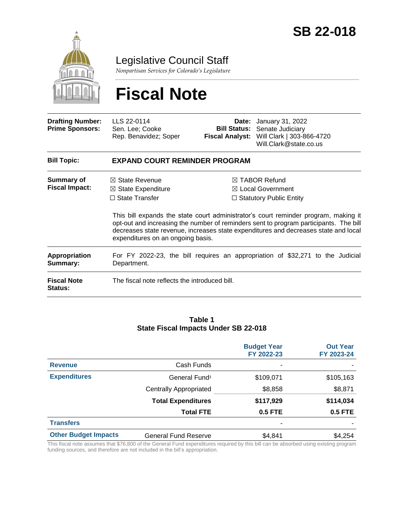

Legislative Council Staff

*Nonpartisan Services for Colorado's Legislature*

# **Fiscal Note**

| <b>Drafting Number:</b><br><b>Prime Sponsors:</b> | LLS 22-0114<br>Sen. Lee; Cooke<br>Rep. Benavidez; Soper                                                                                                                                                                                                                                                  | <b>Fiscal Analyst:</b>                                                                     | <b>Date:</b> January 31, 2022<br><b>Bill Status:</b> Senate Judiciary<br>Will Clark   303-866-4720<br>Will.Clark@state.co.us |  |  |
|---------------------------------------------------|----------------------------------------------------------------------------------------------------------------------------------------------------------------------------------------------------------------------------------------------------------------------------------------------------------|--------------------------------------------------------------------------------------------|------------------------------------------------------------------------------------------------------------------------------|--|--|
| <b>Bill Topic:</b>                                | <b>EXPAND COURT REMINDER PROGRAM</b>                                                                                                                                                                                                                                                                     |                                                                                            |                                                                                                                              |  |  |
| <b>Summary of</b><br><b>Fiscal Impact:</b>        | $\boxtimes$ State Revenue<br>$\boxtimes$ State Expenditure<br>$\Box$ State Transfer                                                                                                                                                                                                                      | $\boxtimes$ TABOR Refund<br>$\boxtimes$ Local Government<br>$\Box$ Statutory Public Entity |                                                                                                                              |  |  |
|                                                   | This bill expands the state court administrator's court reminder program, making it<br>opt-out and increasing the number of reminders sent to program participants. The bill<br>decreases state revenue, increases state expenditures and decreases state and local<br>expenditures on an ongoing basis. |                                                                                            |                                                                                                                              |  |  |
| <b>Appropriation</b><br>Summary:                  | Department.                                                                                                                                                                                                                                                                                              |                                                                                            | For FY 2022-23, the bill requires an appropriation of \$32,271 to the Judicial                                               |  |  |
| <b>Fiscal Note</b><br>Status:                     | The fiscal note reflects the introduced bill.                                                                                                                                                                                                                                                            |                                                                                            |                                                                                                                              |  |  |

#### **Table 1 State Fiscal Impacts Under SB 22-018**

|                             |                               | <b>Budget Year</b><br>FY 2022-23 | <b>Out Year</b><br>FY 2023-24 |
|-----------------------------|-------------------------------|----------------------------------|-------------------------------|
| <b>Revenue</b>              | Cash Funds                    | ۰                                |                               |
| <b>Expenditures</b>         | General Fund <sup>1</sup>     | \$109,071                        | \$105,163                     |
|                             | <b>Centrally Appropriated</b> | \$8,858                          | \$8,871                       |
|                             | <b>Total Expenditures</b>     | \$117,929                        | \$114,034                     |
|                             | <b>Total FTE</b>              | 0.5 FTE                          | <b>0.5 FTE</b>                |
| <b>Transfers</b>            |                               | ۰                                |                               |
| <b>Other Budget Impacts</b> | General Fund Reserve          | \$4,841                          | \$4,254                       |

This fiscal note assumes that \$76,800 of the General Fund expenditures required by this bill can be absorbed using existing program funding sources, and therefore are not included in the bill's appropriation.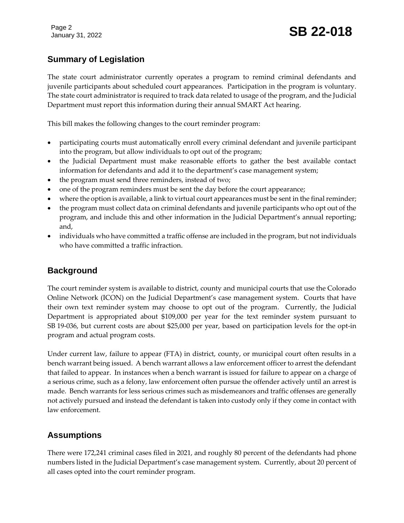## **Summary of Legislation**

The state court administrator currently operates a program to remind criminal defendants and juvenile participants about scheduled court appearances. Participation in the program is voluntary. The state court administrator is required to track data related to usage of the program, and the Judicial Department must report this information during their annual SMART Act hearing.

This bill makes the following changes to the court reminder program:

- participating courts must automatically enroll every criminal defendant and juvenile participant into the program, but allow individuals to opt out of the program;
- the Judicial Department must make reasonable efforts to gather the best available contact information for defendants and add it to the department's case management system;
- the program must send three reminders, instead of two;
- one of the program reminders must be sent the day before the court appearance;
- where the option is available, a link to virtual court appearances must be sent in the final reminder;
- the program must collect data on criminal defendants and juvenile participants who opt out of the program, and include this and other information in the Judicial Department's annual reporting; and,
- individuals who have committed a traffic offense are included in the program, but not individuals who have committed a traffic infraction.

## **Background**

The court reminder system is available to district, county and municipal courts that use the Colorado Online Network (ICON) on the Judicial Department's case management system. Courts that have their own text reminder system may choose to opt out of the program. Currently, the Judicial Department is appropriated about \$109,000 per year for the text reminder system pursuant to SB 19-036, but current costs are about \$25,000 per year, based on participation levels for the opt-in program and actual program costs.

Under current law, failure to appear (FTA) in district, county, or municipal court often results in a bench warrant being issued. A bench warrant allows a law enforcement officer to arrest the defendant that failed to appear. In instances when a bench warrant is issued for failure to appear on a charge of a serious crime, such as a felony, law enforcement often pursue the offender actively until an arrest is made. Bench warrants for less serious crimes such as misdemeanors and traffic offenses are generally not actively pursued and instead the defendant is taken into custody only if they come in contact with law enforcement.

## **Assumptions**

There were 172,241 criminal cases filed in 2021, and roughly 80 percent of the defendants had phone numbers listed in the Judicial Department's case management system. Currently, about 20 percent of all cases opted into the court reminder program.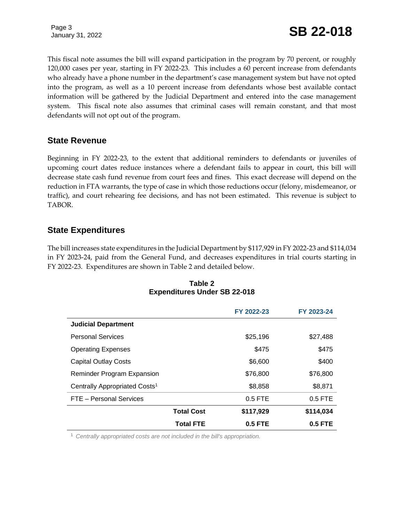Page 3

## January 31, 2022 **SB 22-018**

This fiscal note assumes the bill will expand participation in the program by 70 percent, or roughly 120,000 cases per year, starting in FY 2022-23. This includes a 60 percent increase from defendants who already have a phone number in the department's case management system but have not opted into the program, as well as a 10 percent increase from defendants whose best available contact information will be gathered by the Judicial Department and entered into the case management system. This fiscal note also assumes that criminal cases will remain constant, and that most defendants will not opt out of the program.

#### **State Revenue**

Beginning in FY 2022-23, to the extent that additional reminders to defendants or juveniles of upcoming court dates reduce instances where a defendant fails to appear in court, this bill will decrease state cash fund revenue from court fees and fines. This exact decrease will depend on the reduction in FTA warrants, the type of case in which those reductions occur (felony, misdemeanor, or traffic), and court rehearing fee decisions, and has not been estimated. This revenue is subject to TABOR.

### **State Expenditures**

The bill increases state expenditures in the Judicial Department by \$117,929 in FY 2022-23 and \$114,034 in FY 2023-24, paid from the General Fund, and decreases expenditures in trial courts starting in FY 2022-23. Expenditures are shown in Table 2 and detailed below.

|                                           |                   | FY 2022-23 | FY 2023-24 |
|-------------------------------------------|-------------------|------------|------------|
| <b>Judicial Department</b>                |                   |            |            |
| <b>Personal Services</b>                  |                   | \$25,196   | \$27,488   |
| <b>Operating Expenses</b>                 |                   | \$475      | \$475      |
| <b>Capital Outlay Costs</b>               |                   | \$6,600    | \$400      |
| <b>Reminder Program Expansion</b>         |                   | \$76,800   | \$76,800   |
| Centrally Appropriated Costs <sup>1</sup> |                   | \$8,858    | \$8,871    |
| FTE - Personal Services                   |                   | $0.5$ FTE  | $0.5$ FTE  |
|                                           | <b>Total Cost</b> | \$117,929  | \$114,034  |
|                                           | Total FTE         | $0.5$ FTE  | $0.5$ FTE  |

#### **Table 2 Expenditures Under SB 22-018**

<sup>1</sup> *Centrally appropriated costs are not included in the bill's appropriation.*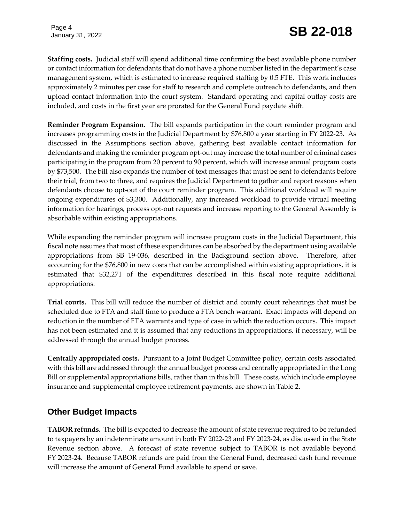Page 4

**Staffing costs.** Judicial staff will spend additional time confirming the best available phone number or contact information for defendants that do not have a phone number listed in the department's case management system, which is estimated to increase required staffing by 0.5 FTE. This work includes approximately 2 minutes per case for staff to research and complete outreach to defendants, and then upload contact information into the court system*.* Standard operating and capital outlay costs are included, and costs in the first year are prorated for the General Fund paydate shift.

**Reminder Program Expansion.** The bill expands participation in the court reminder program and increases programming costs in the Judicial Department by \$76,800 a year starting in FY 2022-23. As discussed in the Assumptions section above, gathering best available contact information for defendants and making the reminder program opt-out may increase the total number of criminal cases participating in the program from 20 percent to 90 percent, which will increase annual program costs by \$73,500. The bill also expands the number of text messages that must be sent to defendants before their trial, from two to three, and requires the Judicial Department to gather and report reasons when defendants choose to opt-out of the court reminder program. This additional workload will require ongoing expenditures of \$3,300. Additionally, any increased workload to provide virtual meeting information for hearings, process opt-out requests and increase reporting to the General Assembly is absorbable within existing appropriations.

While expanding the reminder program will increase program costs in the Judicial Department, this fiscal note assumes that most of these expenditures can be absorbed by the department using available appropriations from SB 19-036, described in the Background section above. Therefore, after accounting for the \$76,800 in new costs that can be accomplished within existing appropriations, it is estimated that \$32,271 of the expenditures described in this fiscal note require additional appropriations.

**Trial courts.** This bill will reduce the number of district and county court rehearings that must be scheduled due to FTA and staff time to produce a FTA bench warrant. Exact impacts will depend on reduction in the number of FTA warrants and type of case in which the reduction occurs. This impact has not been estimated and it is assumed that any reductions in appropriations, if necessary, will be addressed through the annual budget process.

**Centrally appropriated costs.** Pursuant to a Joint Budget Committee policy, certain costs associated with this bill are addressed through the annual budget process and centrally appropriated in the Long Bill or supplemental appropriations bills, rather than in this bill. These costs, which include employee insurance and supplemental employee retirement payments, are shown in Table 2.

## **Other Budget Impacts**

**TABOR refunds.** The bill is expected to decrease the amount of state revenue required to be refunded to taxpayers by an indeterminate amount in both FY 2022-23 and FY 2023-24, as discussed in the State Revenue section above. A forecast of state revenue subject to TABOR is not available beyond FY 2023-24. Because TABOR refunds are paid from the General Fund, decreased cash fund revenue will increase the amount of General Fund available to spend or save.